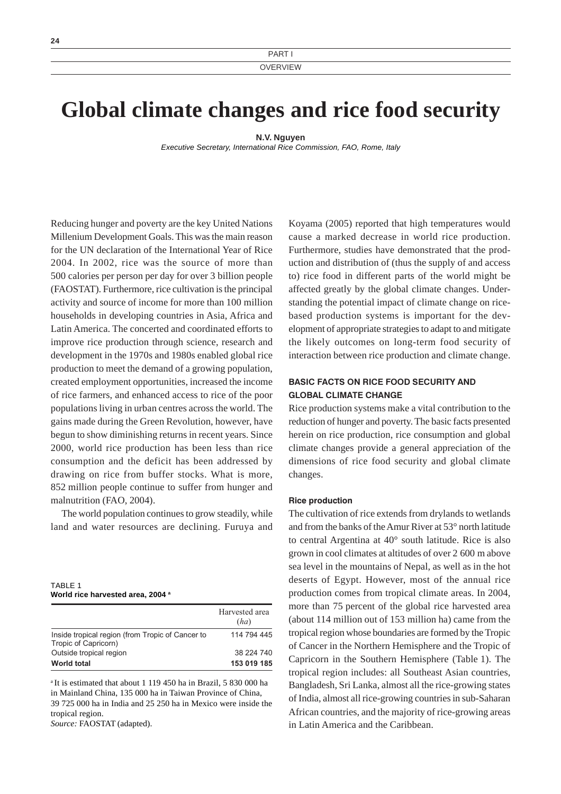# **Global climate changes and rice food security**

**N.V. Nguyen**

*Executive Secretary, International Rice Commission, FAO, Rome, Italy*

Reducing hunger and poverty are the key United Nations Millenium Development Goals. This was the main reason for the UN declaration of the International Year of Rice 2004. In 2002, rice was the source of more than 500 calories per person per day for over 3 billion people (FAOSTAT). Furthermore, rice cultivation is the principal activity and source of income for more than 100 million households in developing countries in Asia, Africa and Latin America. The concerted and coordinated efforts to improve rice production through science, research and development in the 1970s and 1980s enabled global rice production to meet the demand of a growing population, created employment opportunities, increased the income of rice farmers, and enhanced access to rice of the poor populations living in urban centres across the world. The gains made during the Green Revolution, however, have begun to show diminishing returns in recent years. Since 2000, world rice production has been less than rice consumption and the deficit has been addressed by drawing on rice from buffer stocks. What is more, 852 million people continue to suffer from hunger and malnutrition (FAO, 2004).

The world population continues to grow steadily, while land and water resources are declining. Furuya and

| TABLE 1                           |  |  |
|-----------------------------------|--|--|
| World rice harvested area, 2004 a |  |  |

|                                                                          | Harvested area<br>(ha) |
|--------------------------------------------------------------------------|------------------------|
| Inside tropical region (from Tropic of Cancer to<br>Tropic of Capricorn) | 114 794 445            |
| Outside tropical region                                                  | 38 224 740             |
| <b>World total</b>                                                       | 153 019 185            |

a It is estimated that about 1 119 450 ha in Brazil, 5 830 000 ha in Mainland China, 135 000 ha in Taiwan Province of China, 39 725 000 ha in India and 25 250 ha in Mexico were inside the tropical region.

*Source:* FAOSTAT (adapted).

Koyama (2005) reported that high temperatures would cause a marked decrease in world rice production. Furthermore, studies have demonstrated that the production and distribution of (thus the supply of and access to) rice food in different parts of the world might be affected greatly by the global climate changes. Understanding the potential impact of climate change on ricebased production systems is important for the development of appropriate strategies to adapt to and mitigate the likely outcomes on long-term food security of interaction between rice production and climate change.

# BASIC FACTS ON RICE FOOD SECURITY AND GLOBAL CLIMATE CHANGE

Rice production systems make a vital contribution to the reduction of hunger and poverty. The basic facts presented herein on rice production, rice consumption and global climate changes provide a general appreciation of the dimensions of rice food security and global climate changes.

#### Rice production

The cultivation of rice extends from drylands to wetlands and from the banks of the Amur River at 53° north latitude to central Argentina at 40° south latitude. Rice is also grown in cool climates at altitudes of over 2 600 m above sea level in the mountains of Nepal, as well as in the hot deserts of Egypt. However, most of the annual rice production comes from tropical climate areas. In 2004, more than 75 percent of the global rice harvested area (about 114 million out of 153 million ha) came from the tropical region whose boundaries are formed by the Tropic of Cancer in the Northern Hemisphere and the Tropic of Capricorn in the Southern Hemisphere (Table 1). The tropical region includes: all Southeast Asian countries, Bangladesh, Sri Lanka, almost all the rice-growing states of India, almost all rice-growing countries in sub-Saharan African countries, and the majority of rice-growing areas in Latin America and the Caribbean.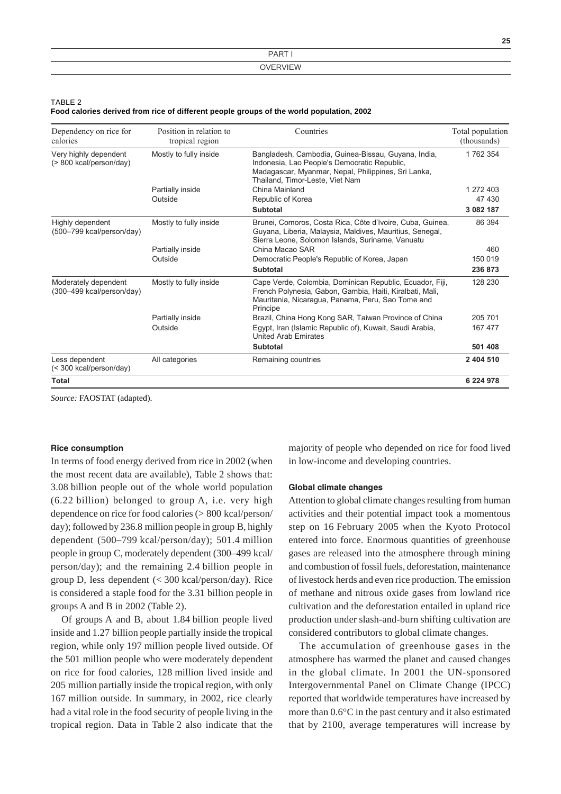|                 | 25 |
|-----------------|----|
| PART            |    |
| <b>OVERVIEW</b> |    |

TABLE 2

| Food calories derived from rice of different people groups of the world population, 2002 |  |  |
|------------------------------------------------------------------------------------------|--|--|
|------------------------------------------------------------------------------------------|--|--|

| Dependency on rice for<br>calories                | Position in relation to<br>tropical region | Countries                                                                                                                                                                                     | Total population<br>(thousands) |
|---------------------------------------------------|--------------------------------------------|-----------------------------------------------------------------------------------------------------------------------------------------------------------------------------------------------|---------------------------------|
| Very highly dependent<br>(> 800 kcal/person/day)  | Mostly to fully inside                     | Bangladesh, Cambodia, Guinea-Bissau, Guyana, India,<br>Indonesia, Lao People's Democratic Republic,<br>Madagascar, Myanmar, Nepal, Philippines, Sri Lanka,<br>Thailand, Timor-Leste, Viet Nam | 1762 354                        |
|                                                   | Partially inside                           | China Mainland                                                                                                                                                                                | 1 272 403                       |
|                                                   | Outside                                    | Republic of Korea                                                                                                                                                                             | 47 430                          |
|                                                   |                                            | <b>Subtotal</b>                                                                                                                                                                               | 3 082 187                       |
| Highly dependent<br>(500-799 kcal/person/day)     | Mostly to fully inside                     | Brunei, Comoros, Costa Rica, Côte d'Ivoire, Cuba, Guinea,<br>Guyana, Liberia, Malaysia, Maldives, Mauritius, Senegal,<br>Sierra Leone, Solomon Islands, Suriname, Vanuatu                     | 86 394                          |
|                                                   | Partially inside                           | China Macao SAR                                                                                                                                                                               | 460                             |
|                                                   | Outside                                    | Democratic People's Republic of Korea, Japan                                                                                                                                                  | 150 019                         |
|                                                   |                                            | <b>Subtotal</b>                                                                                                                                                                               | 236873                          |
| Moderately dependent<br>(300-499 kcal/person/day) | Mostly to fully inside                     | Cape Verde, Colombia, Dominican Republic, Ecuador, Fiji,<br>French Polynesia, Gabon, Gambia, Haiti, Kiralbati, Mali,<br>Mauritania, Nicaragua, Panama, Peru, Sao Tome and<br>Principe         | 128 230                         |
|                                                   | Partially inside                           | Brazil, China Hong Kong SAR, Taiwan Province of China                                                                                                                                         | 205 701                         |
|                                                   | Outside                                    | Egypt, Iran (Islamic Republic of), Kuwait, Saudi Arabia,<br><b>United Arab Emirates</b>                                                                                                       | 167 477                         |
|                                                   |                                            | <b>Subtotal</b>                                                                                                                                                                               | 501 408                         |
| Less dependent<br>(< 300 kcal/person/day)         | All categories                             | Remaining countries                                                                                                                                                                           | 2 404 510                       |
| Total                                             |                                            |                                                                                                                                                                                               | 6 224 978                       |

*Source:* FAOSTAT (adapted).

## Rice consumption

In terms of food energy derived from rice in 2002 (when the most recent data are available), Table 2 shows that: 3.08 billion people out of the whole world population (6.22 billion) belonged to group A, i.e. very high dependence on rice for food calories (> 800 kcal/person/ day); followed by 236.8 million people in group B, highly dependent (500–799 kcal/person/day); 501.4 million people in group C, moderately dependent (300–499 kcal/ person/day); and the remaining 2.4 billion people in group D, less dependent (< 300 kcal/person/day). Rice is considered a staple food for the 3.31 billion people in groups A and B in 2002 (Table 2).

Of groups A and B, about 1.84 billion people lived inside and 1.27 billion people partially inside the tropical region, while only 197 million people lived outside. Of the 501 million people who were moderately dependent on rice for food calories, 128 million lived inside and 205 million partially inside the tropical region, with only 167 million outside. In summary, in 2002, rice clearly had a vital role in the food security of people living in the tropical region. Data in Table 2 also indicate that the majority of people who depended on rice for food lived in low-income and developing countries.

#### Global climate changes

Attention to global climate changes resulting from human activities and their potential impact took a momentous step on 16 February 2005 when the Kyoto Protocol entered into force. Enormous quantities of greenhouse gases are released into the atmosphere through mining and combustion of fossil fuels, deforestation, maintenance of livestock herds and even rice production. The emission of methane and nitrous oxide gases from lowland rice cultivation and the deforestation entailed in upland rice production under slash-and-burn shifting cultivation are considered contributors to global climate changes.

The accumulation of greenhouse gases in the atmosphere has warmed the planet and caused changes in the global climate. In 2001 the UN-sponsored Intergovernmental Panel on Climate Change (IPCC) reported that worldwide temperatures have increased by more than 0.6°C in the past century and it also estimated that by 2100, average temperatures will increase by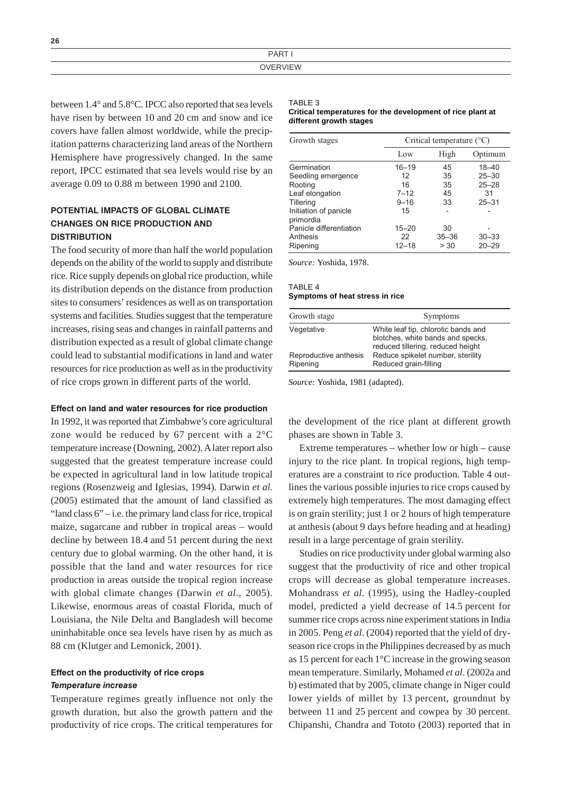| $DAP^-$                                                                                                         |
|-----------------------------------------------------------------------------------------------------------------|
|                                                                                                                 |
| the contract of the contract of the contract of the contract of the contract of the contract of the contract of |

between 1.4° and 5.8°C. IPCC also reported that sea levels have risen by between 10 and 20 cm and snow and ice covers have fallen almost worldwide, while the precipitation patterns characterizing land areas of the Northern Hemisphere have progressively changed. In the same report, IPCC estimated that sea levels would rise by an average 0.09 to 0.88 m between 1990 and 2100.

# POTENTIAL IMPACTS OF GLOBAL CLIMATE CHANGES ON RICE PRODUCTION AND **DISTRIBUTION**

The food security of more than half the world population depends on the ability of the world to supply and distribute rice. Rice supply depends on global rice production, while its distribution depends on the distance from production sites to consumers' residences as well as on transportation systems and facilities. Studies suggest that the temperature increases, rising seas and changes in rainfall patterns and distribution expected as a result of global climate change could lead to substantial modifications in land and water resources for rice production as well as in the productivity of rice crops grown in different parts of the world.

## Effect on land and water resources for rice production

In 1992, it was reported that Zimbabwe's core agricultural zone would be reduced by 67 percent with a 2°C temperature increase (Downing, 2002). A later report also suggested that the greatest temperature increase could be expected in agricultural land in low latitude tropical regions (Rosenzweig and Iglesias, 1994). Darwin *et al*. (2005) estimated that the amount of land classified as "land class  $6$ " – i.e. the primary land class for rice, tropical maize, sugarcane and rubber in tropical areas – would decline by between 18.4 and 51 percent during the next century due to global warming. On the other hand, it is possible that the land and water resources for rice production in areas outside the tropical region increase with global climate changes (Darwin *et al*., 2005). Likewise, enormous areas of coastal Florida, much of Louisiana, the Nile Delta and Bangladesh will become uninhabitable once sea levels have risen by as much as 88 cm (Klutger and Lemonick, 2001).

# Effect on the productivity of rice crops Temperature increase

Temperature regimes greatly influence not only the growth duration, but also the growth pattern and the productivity of rice crops. The critical temperatures for

#### TABLE 3

#### **Critical temperatures for the development of rice plant at different growth stages**

| Growth stages                      | Critical temperature $(^{\circ}C)$ |           |           |
|------------------------------------|------------------------------------|-----------|-----------|
|                                    | Low                                | High      | Optimum   |
| Germination                        | $16 - 19$                          | 45        | $18 - 40$ |
| Seedling emergence                 | 12                                 | 35        | $25 - 30$ |
| Rooting                            | 16                                 | 35        | $25 - 28$ |
| Leaf elongation                    | $7 - 12$                           | 45        | 31        |
| <b>Tillering</b>                   | $9 - 16$                           | 33        | $25 - 31$ |
| Initiation of panicle<br>primordia | 15                                 |           |           |
| Panicle differentiation            | $15 - 20$                          | 30        |           |
| Anthesis                           | 22                                 | $35 - 36$ | $30 - 33$ |
| Ripening                           | $12 - 18$                          | > 30      | $20 - 29$ |

*Source:* Yoshida, 1978.

## TABLE  $\overline{A}$ **Symptoms of heat stress in rice**

| Growth stage                      | Symptoms                                                                                                      |
|-----------------------------------|---------------------------------------------------------------------------------------------------------------|
| Vegetative                        | White leaf tip, chlorotic bands and<br>blotches, white bands and specks,<br>reduced tillering, reduced height |
| Reproductive anthesis<br>Ripening | Reduce spikelet number, sterility<br>Reduced grain-filling                                                    |

*Source:* Yoshida, 1981 (adapted).

the development of the rice plant at different growth phases are shown in Table 3.

Extreme temperatures – whether low or high – cause injury to the rice plant. In tropical regions, high temperatures are a constraint to rice production. Table 4 outlines the various possible injuries to rice crops caused by extremely high temperatures. The most damaging effect is on grain sterility; just 1 or 2 hours of high temperature at anthesis (about 9 days before heading and at heading) result in a large percentage of grain sterility.

Studies on rice productivity under global warming also suggest that the productivity of rice and other tropical crops will decrease as global temperature increases. Mohandrass *et al*. (1995), using the Hadley-coupled model, predicted a yield decrease of 14.5 percent for summer rice crops across nine experiment stations in India in 2005. Peng *et al*. (2004) reported that the yield of dryseason rice crops in the Philippines decreased by as much as 15 percent for each 1°C increase in the growing season mean temperature. Similarly, Mohamed *et al*. (2002a and b) estimated that by 2005, climate change in Niger could lower yields of millet by 13 percent, groundnut by between 11 and 25 percent and cowpea by 30 percent. Chipanshi, Chandra and Tototo (2003) reported that in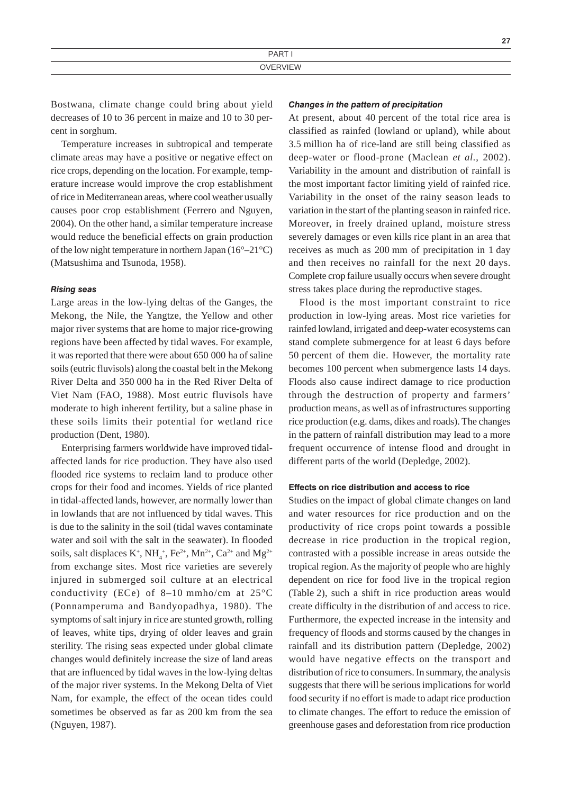Bostwana, climate change could bring about yield decreases of 10 to 36 percent in maize and 10 to 30 percent in sorghum.

Temperature increases in subtropical and temperate climate areas may have a positive or negative effect on rice crops, depending on the location. For example, temperature increase would improve the crop establishment of rice in Mediterranean areas, where cool weather usually causes poor crop establishment (Ferrero and Nguyen, 2004). On the other hand, a similar temperature increase would reduce the beneficial effects on grain production of the low night temperature in northern Japan (16°–21°C) (Matsushima and Tsunoda, 1958).

#### Rising seas

Large areas in the low-lying deltas of the Ganges, the Mekong, the Nile, the Yangtze, the Yellow and other major river systems that are home to major rice-growing regions have been affected by tidal waves. For example, it was reported that there were about 650 000 ha of saline soils (eutric fluvisols) along the coastal belt in the Mekong River Delta and 350 000 ha in the Red River Delta of Viet Nam (FAO, 1988). Most eutric fluvisols have moderate to high inherent fertility, but a saline phase in these soils limits their potential for wetland rice production (Dent, 1980).

Enterprising farmers worldwide have improved tidalaffected lands for rice production. They have also used flooded rice systems to reclaim land to produce other crops for their food and incomes. Yields of rice planted in tidal-affected lands, however, are normally lower than in lowlands that are not influenced by tidal waves. This is due to the salinity in the soil (tidal waves contaminate water and soil with the salt in the seawater). In flooded soils, salt displaces  $K^+$ ,  $NH_4^+$ ,  $Fe^{2+}$ ,  $Mn^{2+}$ ,  $Ca^{2+}$  and  $Mg^{2+}$ from exchange sites. Most rice varieties are severely injured in submerged soil culture at an electrical conductivity (ECe) of 8–10 mmho/cm at 25°C (Ponnamperuma and Bandyopadhya, 1980). The symptoms of salt injury in rice are stunted growth, rolling of leaves, white tips, drying of older leaves and grain sterility. The rising seas expected under global climate changes would definitely increase the size of land areas that are influenced by tidal waves in the low-lying deltas of the major river systems. In the Mekong Delta of Viet Nam, for example, the effect of the ocean tides could sometimes be observed as far as 200 km from the sea (Nguyen, 1987).

#### Changes in the pattern of precipitation

At present, about 40 percent of the total rice area is classified as rainfed (lowland or upland), while about 3.5 million ha of rice-land are still being classified as deep-water or flood-prone (Maclean *et al.*, 2002). Variability in the amount and distribution of rainfall is the most important factor limiting yield of rainfed rice. Variability in the onset of the rainy season leads to variation in the start of the planting season in rainfed rice. Moreover, in freely drained upland, moisture stress severely damages or even kills rice plant in an area that receives as much as 200 mm of precipitation in 1 day and then receives no rainfall for the next 20 days. Complete crop failure usually occurs when severe drought stress takes place during the reproductive stages.

**27**

Flood is the most important constraint to rice production in low-lying areas. Most rice varieties for rainfed lowland, irrigated and deep-water ecosystems can stand complete submergence for at least 6 days before 50 percent of them die. However, the mortality rate becomes 100 percent when submergence lasts 14 days. Floods also cause indirect damage to rice production through the destruction of property and farmers' production means, as well as of infrastructures supporting rice production (e.g. dams, dikes and roads). The changes in the pattern of rainfall distribution may lead to a more frequent occurrence of intense flood and drought in different parts of the world (Depledge, 2002).

## Effects on rice distribution and access to rice

Studies on the impact of global climate changes on land and water resources for rice production and on the productivity of rice crops point towards a possible decrease in rice production in the tropical region, contrasted with a possible increase in areas outside the tropical region. As the majority of people who are highly dependent on rice for food live in the tropical region (Table 2), such a shift in rice production areas would create difficulty in the distribution of and access to rice. Furthermore, the expected increase in the intensity and frequency of floods and storms caused by the changes in rainfall and its distribution pattern (Depledge, 2002) would have negative effects on the transport and distribution of rice to consumers. In summary, the analysis suggests that there will be serious implications for world food security if no effort is made to adapt rice production to climate changes. The effort to reduce the emission of greenhouse gases and deforestation from rice production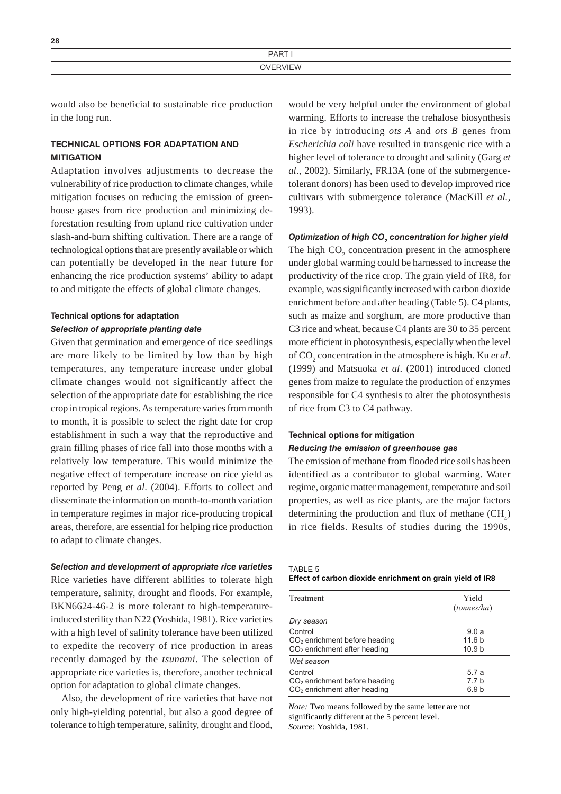| ∼∸              |  |
|-----------------|--|
| <b>DART</b>     |  |
| <b>OVERVIEW</b> |  |

would also be beneficial to sustainable rice production in the long run.

# TECHNICAL OPTIONS FOR ADAPTATION AND **MITIGATION**

**28**

Adaptation involves adjustments to decrease the vulnerability of rice production to climate changes, while mitigation focuses on reducing the emission of greenhouse gases from rice production and minimizing deforestation resulting from upland rice cultivation under slash-and-burn shifting cultivation. There are a range of technological options that are presently available or which can potentially be developed in the near future for enhancing the rice production systems' ability to adapt to and mitigate the effects of global climate changes.

# Technical options for adaptation Selection of appropriate planting date

Given that germination and emergence of rice seedlings are more likely to be limited by low than by high temperatures, any temperature increase under global climate changes would not significantly affect the selection of the appropriate date for establishing the rice crop in tropical regions. As temperature varies from month to month, it is possible to select the right date for crop establishment in such a way that the reproductive and grain filling phases of rice fall into those months with a relatively low temperature. This would minimize the negative effect of temperature increase on rice yield as reported by Peng *et al*. (2004). Efforts to collect and disseminate the information on month-to-month variation in temperature regimes in major rice-producing tropical areas, therefore, are essential for helping rice production to adapt to climate changes.

#### Selection and development of appropriate rice varieties

Rice varieties have different abilities to tolerate high temperature, salinity, drought and floods. For example, BKN6624-46-2 is more tolerant to high-temperatureinduced sterility than N22 (Yoshida, 1981). Rice varieties with a high level of salinity tolerance have been utilized to expedite the recovery of rice production in areas recently damaged by the *tsunami*. The selection of appropriate rice varieties is, therefore, another technical option for adaptation to global climate changes.

Also, the development of rice varieties that have not only high-yielding potential, but also a good degree of tolerance to high temperature, salinity, drought and flood, would be very helpful under the environment of global warming. Efforts to increase the trehalose biosynthesis in rice by introducing *ots A* and *ots B* genes from *Escherichia coli* have resulted in transgenic rice with a higher level of tolerance to drought and salinity (Garg *et al*., 2002). Similarly, FR13A (one of the submergencetolerant donors) has been used to develop improved rice cultivars with submergence tolerance (MacKill *et al.*, 1993).

# Optimization of high CO $_{_2}$  concentration for higher yield

The high  $CO<sub>2</sub>$  concentration present in the atmosphere under global warming could be harnessed to increase the productivity of the rice crop. The grain yield of IR8, for example, was significantly increased with carbon dioxide enrichment before and after heading (Table 5). C4 plants, such as maize and sorghum, are more productive than C3 rice and wheat, because C4 plants are 30 to 35 percent more efficient in photosynthesis, especially when the level of CO<sub>2</sub> concentration in the atmosphere is high. Ku *et al*. (1999) and Matsuoka *et al*. (2001) introduced cloned genes from maize to regulate the production of enzymes responsible for C4 synthesis to alter the photosynthesis of rice from C3 to C4 pathway.

#### Technical options for mitigation

## Reducing the emission of greenhouse gas

The emission of methane from flooded rice soils has been identified as a contributor to global warming. Water regime, organic matter management, temperature and soil properties, as well as rice plants, are the major factors determining the production and flux of methane  $\text{CH}_4$ ) in rice fields. Results of studies during the 1990s,

TABLE 5

| Treatment                                | Yield<br>(tonnes/ha) |
|------------------------------------------|----------------------|
| Dry season                               |                      |
| Control                                  | 9.0a                 |
| $CO2$ enrichment before heading          | 11.6 <sub>b</sub>    |
| CO <sub>2</sub> enrichment after heading | 10.9 <sub>b</sub>    |
| Wet season                               |                      |
| Control                                  | 5.7 a                |
| $CO2$ enrichment before heading          | 77 h                 |
| $CO2$ enrichment after heading           | 6.9 b                |

*Note:* Two means followed by the same letter are not significantly different at the 5 percent level. *Source:* Yoshida, 1981.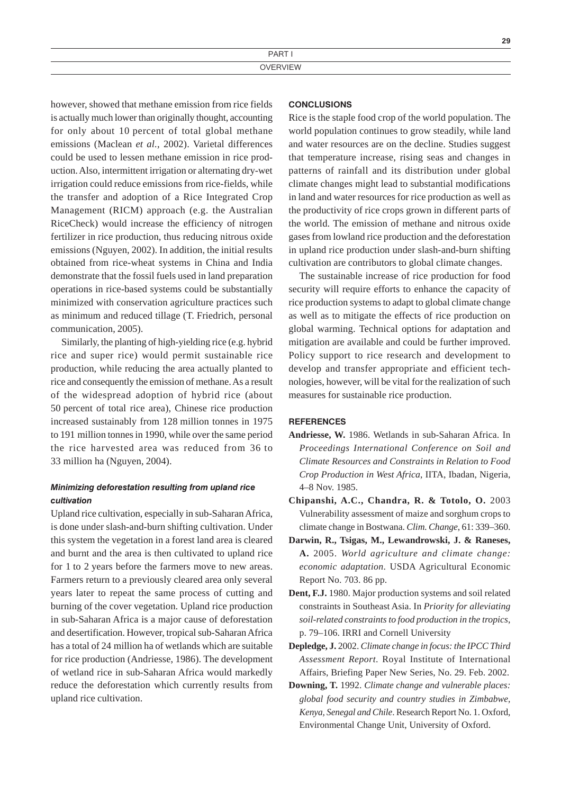however, showed that methane emission from rice fields is actually much lower than originally thought, accounting for only about 10 percent of total global methane emissions (Maclean *et al.*, 2002). Varietal differences could be used to lessen methane emission in rice production. Also, intermittent irrigation or alternating dry-wet irrigation could reduce emissions from rice-fields, while the transfer and adoption of a Rice Integrated Crop Management (RICM) approach (e.g. the Australian RiceCheck) would increase the efficiency of nitrogen fertilizer in rice production, thus reducing nitrous oxide emissions (Nguyen, 2002). In addition, the initial results obtained from rice-wheat systems in China and India demonstrate that the fossil fuels used in land preparation operations in rice-based systems could be substantially minimized with conservation agriculture practices such as minimum and reduced tillage (T. Friedrich, personal communication, 2005).

Similarly, the planting of high-yielding rice (e.g. hybrid rice and super rice) would permit sustainable rice production, while reducing the area actually planted to rice and consequently the emission of methane. As a result of the widespread adoption of hybrid rice (about 50 percent of total rice area), Chinese rice production increased sustainably from 128 million tonnes in 1975 to 191 million tonnes in 1990, while over the same period the rice harvested area was reduced from 36 to 33 million ha (Nguyen, 2004).

# Minimizing deforestation resulting from upland rice cultivation

Upland rice cultivation, especially in sub-Saharan Africa, is done under slash-and-burn shifting cultivation. Under this system the vegetation in a forest land area is cleared and burnt and the area is then cultivated to upland rice for 1 to 2 years before the farmers move to new areas. Farmers return to a previously cleared area only several years later to repeat the same process of cutting and burning of the cover vegetation. Upland rice production in sub-Saharan Africa is a major cause of deforestation and desertification. However, tropical sub-Saharan Africa has a total of 24 million ha of wetlands which are suitable for rice production (Andriesse, 1986). The development of wetland rice in sub-Saharan Africa would markedly reduce the deforestation which currently results from upland rice cultivation.

## **CONCLUSIONS**

Rice is the staple food crop of the world population. The world population continues to grow steadily, while land and water resources are on the decline. Studies suggest that temperature increase, rising seas and changes in patterns of rainfall and its distribution under global climate changes might lead to substantial modifications in land and water resources for rice production as well as the productivity of rice crops grown in different parts of the world. The emission of methane and nitrous oxide gases from lowland rice production and the deforestation in upland rice production under slash-and-burn shifting cultivation are contributors to global climate changes.

**29**

The sustainable increase of rice production for food security will require efforts to enhance the capacity of rice production systems to adapt to global climate change as well as to mitigate the effects of rice production on global warming. Technical options for adaptation and mitigation are available and could be further improved. Policy support to rice research and development to develop and transfer appropriate and efficient technologies, however, will be vital for the realization of such measures for sustainable rice production.

## **REFERENCES**

- **Andriesse, W.** 1986. Wetlands in sub-Saharan Africa. In *Proceedings International Conference on Soil and Climate Resources and Constraints in Relation to Food Crop Production in West Africa*, IITA, Ibadan, Nigeria, 4–8 Nov. 1985.
- **Chipanshi, A.C., Chandra, R. & Totolo, O.** 2003 Vulnerability assessment of maize and sorghum crops to climate change in Bostwana. *Clim. Change*, 61: 339–360.
- **Darwin, R., Tsigas, M., Lewandrowski, J. & Raneses, A.** 2005. *World agriculture and climate change: economic adaptation*. USDA Agricultural Economic Report No. 703. 86 pp.
- **Dent, F.J.** 1980. Major production systems and soil related constraints in Southeast Asia. In *Priority for alleviating soil-related constraints to food production in the tropics*, p. 79–106. IRRI and Cornell University
- **Depledge, J.** 2002. *Climate change in focus: the IPCC Third Assessment Report*. Royal Institute of International Affairs, Briefing Paper New Series, No. 29. Feb. 2002.
- **Downing, T.** 1992. *Climate change and vulnerable places: global food security and country studies in Zimbabwe, Kenya, Senegal and Chile*. Research Report No. 1. Oxford, Environmental Change Unit, University of Oxford.